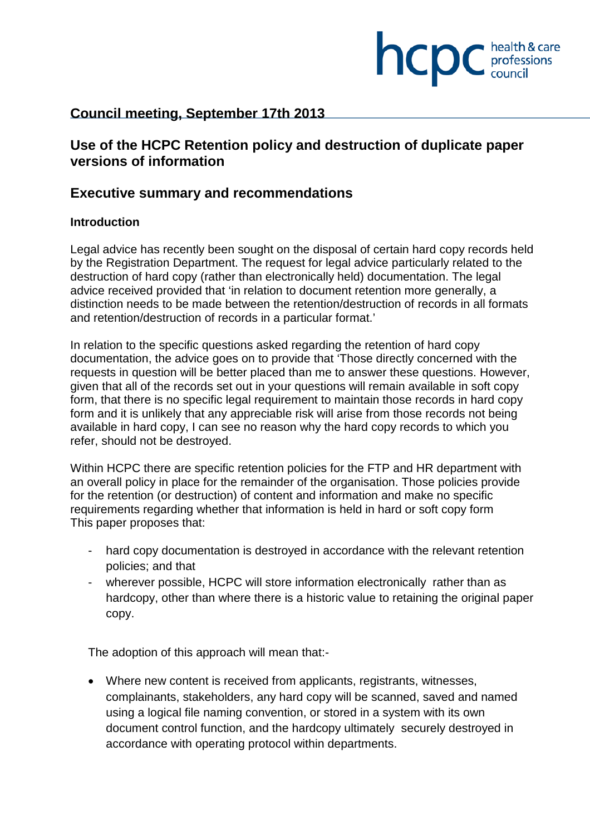

# **Council meeting, September 17th 2013**

# **Use of the HCPC Retention policy and destruction of duplicate paper versions of information**

# **Executive summary and recommendations**

### **Introduction**

Legal advice has recently been sought on the disposal of certain hard copy records held by the Registration Department. The request for legal advice particularly related to the destruction of hard copy (rather than electronically held) documentation. The legal advice received provided that 'in relation to document retention more generally, a distinction needs to be made between the retention/destruction of records in all formats and retention/destruction of records in a particular format.'

In relation to the specific questions asked regarding the retention of hard copy documentation, the advice goes on to provide that 'Those directly concerned with the requests in question will be better placed than me to answer these questions. However, given that all of the records set out in your questions will remain available in soft copy form, that there is no specific legal requirement to maintain those records in hard copy form and it is unlikely that any appreciable risk will arise from those records not being available in hard copy, I can see no reason why the hard copy records to which you refer, should not be destroyed.

Within HCPC there are specific retention policies for the FTP and HR department with an overall policy in place for the remainder of the organisation. Those policies provide for the retention (or destruction) of content and information and make no specific requirements regarding whether that information is held in hard or soft copy form This paper proposes that:

- hard copy documentation is destroyed in accordance with the relevant retention policies; and that
- wherever possible, HCPC will store information electronically rather than as hardcopy, other than where there is a historic value to retaining the original paper copy.

The adoption of this approach will mean that:-

• Where new content is received from applicants, registrants, witnesses, complainants, stakeholders, any hard copy will be scanned, saved and named using a logical file naming convention, or stored in a system with its own document control function, and the hardcopy ultimately securely destroyed in accordance with operating protocol within departments.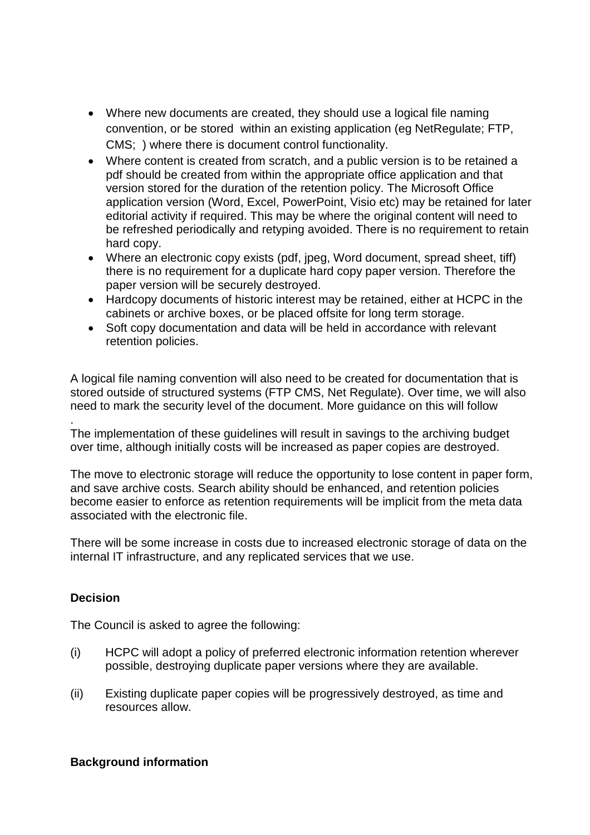- Where new documents are created, they should use a logical file naming convention, or be stored within an existing application (eg NetRegulate; FTP, CMS; ) where there is document control functionality.
- Where content is created from scratch, and a public version is to be retained a pdf should be created from within the appropriate office application and that version stored for the duration of the retention policy. The Microsoft Office application version (Word, Excel, PowerPoint, Visio etc) may be retained for later editorial activity if required. This may be where the original content will need to be refreshed periodically and retyping avoided. There is no requirement to retain hard copy.
- Where an electronic copy exists (pdf, jpeg, Word document, spread sheet, tiff) there is no requirement for a duplicate hard copy paper version. Therefore the paper version will be securely destroyed.
- Hardcopy documents of historic interest may be retained, either at HCPC in the cabinets or archive boxes, or be placed offsite for long term storage.
- Soft copy documentation and data will be held in accordance with relevant retention policies.

A logical file naming convention will also need to be created for documentation that is stored outside of structured systems (FTP CMS, Net Regulate). Over time, we will also need to mark the security level of the document. More guidance on this will follow

. The implementation of these guidelines will result in savings to the archiving budget over time, although initially costs will be increased as paper copies are destroyed.

The move to electronic storage will reduce the opportunity to lose content in paper form, and save archive costs. Search ability should be enhanced, and retention policies become easier to enforce as retention requirements will be implicit from the meta data associated with the electronic file.

There will be some increase in costs due to increased electronic storage of data on the internal IT infrastructure, and any replicated services that we use.

## **Decision**

The Council is asked to agree the following:

- (i) HCPC will adopt a policy of preferred electronic information retention wherever possible, destroying duplicate paper versions where they are available.
- (ii) Existing duplicate paper copies will be progressively destroyed, as time and resources allow.

## **Background information**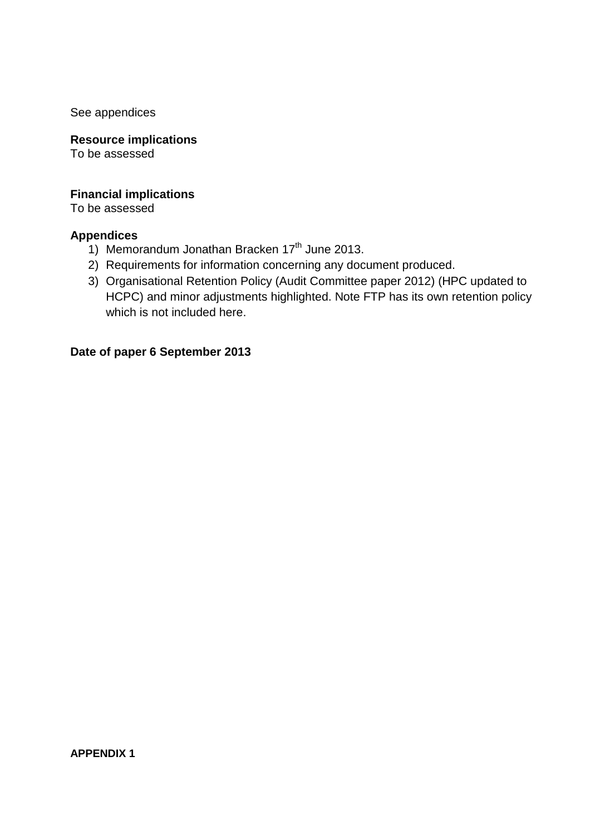See appendices

**Resource implications**  To be assessed

#### **Financial implications**

To be assessed

#### **Appendices**

- 1) Memorandum Jonathan Bracken 17<sup>th</sup> June 2013.
- 2) Requirements for information concerning any document produced.
- 3) Organisational Retention Policy (Audit Committee paper 2012) (HPC updated to HCPC) and minor adjustments highlighted. Note FTP has its own retention policy which is not included here.

### **Date of paper 6 September 2013**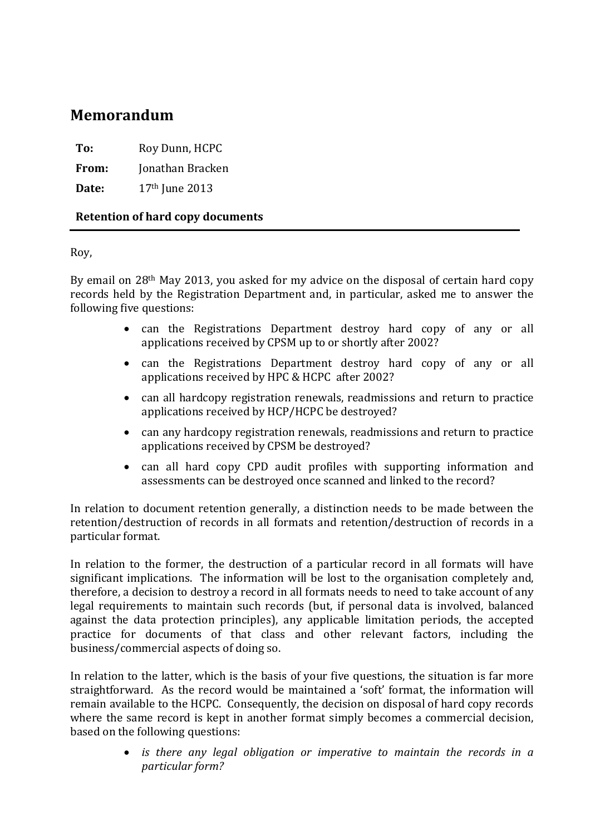# **Memorandum**

**To:** Roy Dunn, HCPC

**From:** Jonathan Bracken

**Date:** 17th June 2013

### **Retention of hard copy documents**

#### Roy,

By email on 28th May 2013, you asked for my advice on the disposal of certain hard copy records held by the Registration Department and, in particular, asked me to answer the following five questions:

- can the Registrations Department destroy hard copy of any or all applications received by CPSM up to or shortly after 2002?
- can the Registrations Department destroy hard copy of any or all applications received by HPC & HCPC after 2002?
- can all hardcopy registration renewals, readmissions and return to practice applications received by HCP/HCPC be destroyed?
- can any hardcopy registration renewals, readmissions and return to practice applications received by CPSM be destroyed?
- can all hard copy CPD audit profiles with supporting information and assessments can be destroyed once scanned and linked to the record?

In relation to document retention generally, a distinction needs to be made between the retention/destruction of records in all formats and retention/destruction of records in a particular format.

In relation to the former, the destruction of a particular record in all formats will have significant implications. The information will be lost to the organisation completely and, therefore, a decision to destroy a record in all formats needs to need to take account of any legal requirements to maintain such records (but, if personal data is involved, balanced against the data protection principles), any applicable limitation periods, the accepted practice for documents of that class and other relevant factors, including the business/commercial aspects of doing so.

In relation to the latter, which is the basis of your five questions, the situation is far more straightforward. As the record would be maintained a 'soft' format, the information will remain available to the HCPC. Consequently, the decision on disposal of hard copy records where the same record is kept in another format simply becomes a commercial decision, based on the following questions:

> • *is there any legal obligation or imperative to maintain the records in a particular form?*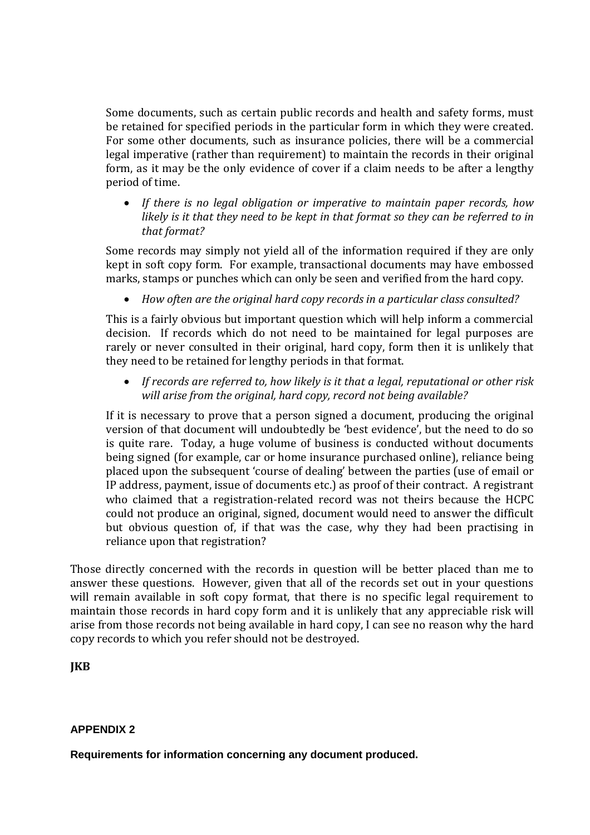Some documents, such as certain public records and health and safety forms, must be retained for specified periods in the particular form in which they were created. For some other documents, such as insurance policies, there will be a commercial legal imperative (rather than requirement) to maintain the records in their original form, as it may be the only evidence of cover if a claim needs to be after a lengthy period of time.

• *If there is no legal obligation or imperative to maintain paper records, how likely is it that they need to be kept in that format so they can be referred to in that format?*

Some records may simply not yield all of the information required if they are only kept in soft copy form. For example, transactional documents may have embossed marks, stamps or punches which can only be seen and verified from the hard copy.

• *How often are the original hard copy records in a particular class consulted?*

This is a fairly obvious but important question which will help inform a commercial decision. If records which do not need to be maintained for legal purposes are rarely or never consulted in their original, hard copy, form then it is unlikely that they need to be retained for lengthy periods in that format.

• *If records are referred to, how likely is it that a legal, reputational or other risk will arise from the original, hard copy, record not being available?*

If it is necessary to prove that a person signed a document, producing the original version of that document will undoubtedly be 'best evidence', but the need to do so is quite rare. Today, a huge volume of business is conducted without documents being signed (for example, car or home insurance purchased online), reliance being placed upon the subsequent 'course of dealing' between the parties (use of email or IP address, payment, issue of documents etc.) as proof of their contract. A registrant who claimed that a registration-related record was not theirs because the HCPC could not produce an original, signed, document would need to answer the difficult but obvious question of, if that was the case, why they had been practising in reliance upon that registration?

Those directly concerned with the records in question will be better placed than me to answer these questions. However, given that all of the records set out in your questions will remain available in soft copy format, that there is no specific legal requirement to maintain those records in hard copy form and it is unlikely that any appreciable risk will arise from those records not being available in hard copy, I can see no reason why the hard copy records to which you refer should not be destroyed.

## **JKB**

#### **APPENDIX 2**

**Requirements for information concerning any document produced.**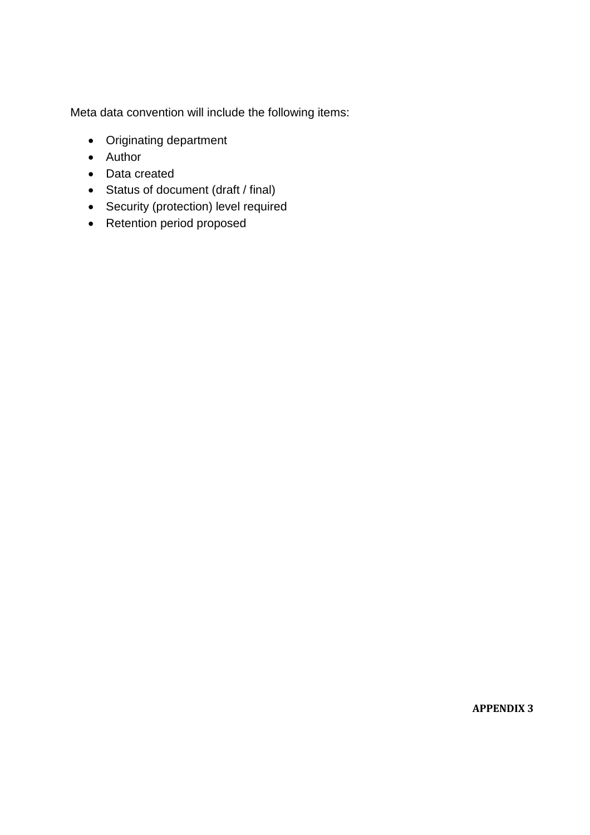Meta data convention will include the following items:

- Originating department
- Author
- Data created
- Status of document (draft / final)
- Security (protection) level required
- Retention period proposed

**APPENDIX 3**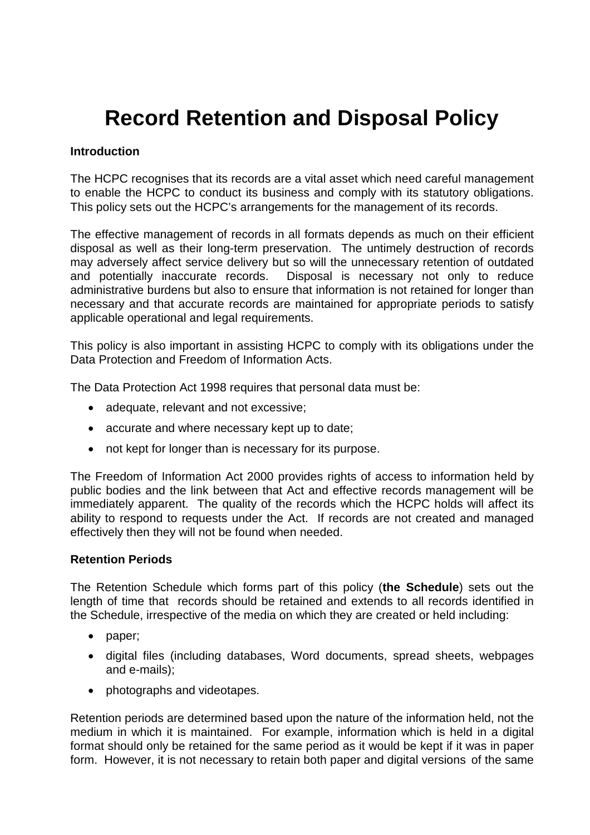# **Record Retention and Disposal Policy**

#### **Introduction**

The HCPC recognises that its records are a vital asset which need careful management to enable the HCPC to conduct its business and comply with its statutory obligations. This policy sets out the HCPC's arrangements for the management of its records.

The effective management of records in all formats depends as much on their efficient disposal as well as their long-term preservation. The untimely destruction of records may adversely affect service delivery but so will the unnecessary retention of outdated and potentially inaccurate records. Disposal is necessary not only to reduce administrative burdens but also to ensure that information is not retained for longer than necessary and that accurate records are maintained for appropriate periods to satisfy applicable operational and legal requirements.

This policy is also important in assisting HCPC to comply with its obligations under the Data Protection and Freedom of Information Acts.

The Data Protection Act 1998 requires that personal data must be:

- adequate, relevant and not excessive;
- accurate and where necessary kept up to date;
- not kept for longer than is necessary for its purpose.

The Freedom of Information Act 2000 provides rights of access to information held by public bodies and the link between that Act and effective records management will be immediately apparent. The quality of the records which the HCPC holds will affect its ability to respond to requests under the Act. If records are not created and managed effectively then they will not be found when needed.

#### **Retention Periods**

The Retention Schedule which forms part of this policy (**the Schedule**) sets out the length of time that records should be retained and extends to all records identified in the Schedule, irrespective of the media on which they are created or held including:

- paper;
- digital files (including databases, Word documents, spread sheets, webpages and e-mails);
- photographs and videotapes.

Retention periods are determined based upon the nature of the information held, not the medium in which it is maintained. For example, information which is held in a digital format should only be retained for the same period as it would be kept if it was in paper form. However, it is not necessary to retain both paper and digital versions of the same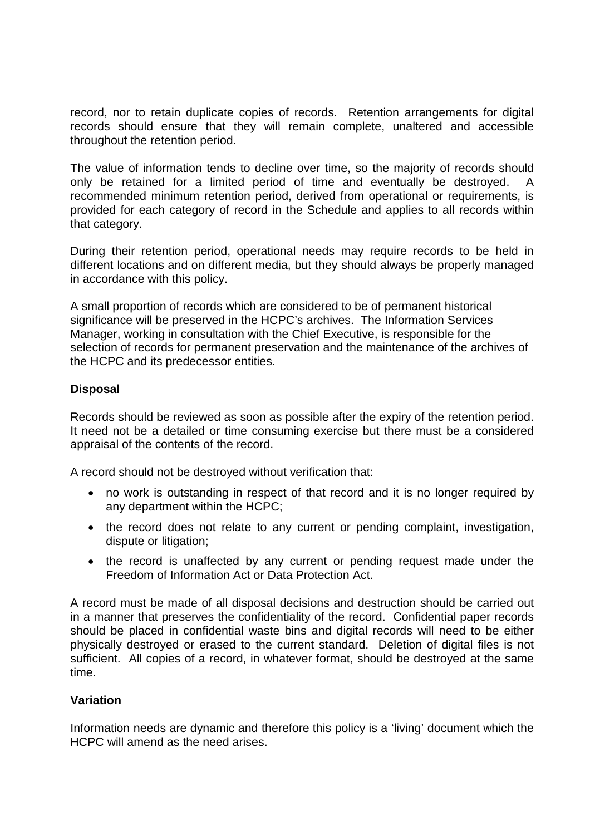record, nor to retain duplicate copies of records. Retention arrangements for digital records should ensure that they will remain complete, unaltered and accessible throughout the retention period.

The value of information tends to decline over time, so the majority of records should only be retained for a limited period of time and eventually be destroyed. A recommended minimum retention period, derived from operational or requirements, is provided for each category of record in the Schedule and applies to all records within that category.

During their retention period, operational needs may require records to be held in different locations and on different media, but they should always be properly managed in accordance with this policy.

A small proportion of records which are considered to be of permanent historical significance will be preserved in the HCPC's archives. The Information Services Manager, working in consultation with the Chief Executive, is responsible for the selection of records for permanent preservation and the maintenance of the archives of the HCPC and its predecessor entities.

### **Disposal**

Records should be reviewed as soon as possible after the expiry of the retention period. It need not be a detailed or time consuming exercise but there must be a considered appraisal of the contents of the record.

A record should not be destroyed without verification that:

- no work is outstanding in respect of that record and it is no longer required by any department within the HCPC;
- the record does not relate to any current or pending complaint, investigation, dispute or litigation;
- the record is unaffected by any current or pending request made under the Freedom of Information Act or Data Protection Act.

A record must be made of all disposal decisions and destruction should be carried out in a manner that preserves the confidentiality of the record. Confidential paper records should be placed in confidential waste bins and digital records will need to be either physically destroyed or erased to the current standard. Deletion of digital files is not sufficient. All copies of a record, in whatever format, should be destroyed at the same time.

#### **Variation**

Information needs are dynamic and therefore this policy is a 'living' document which the HCPC will amend as the need arises.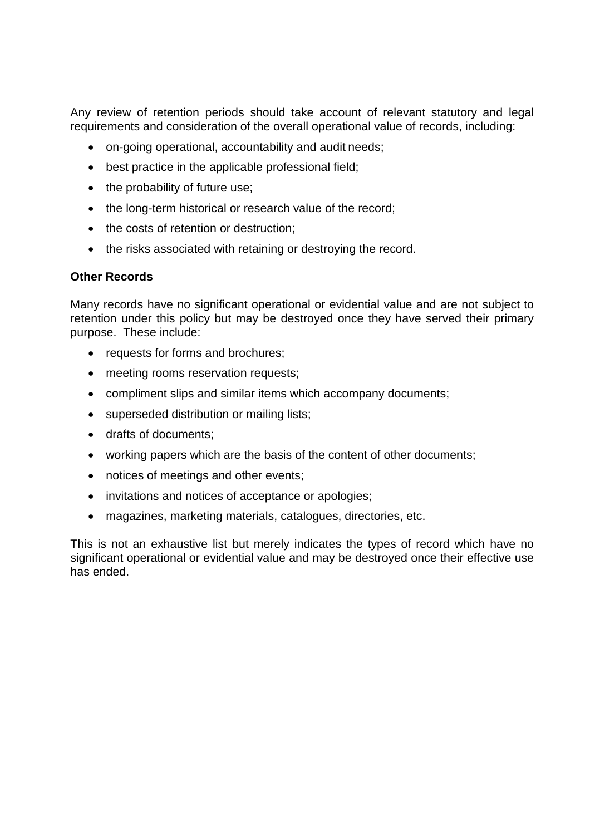Any review of retention periods should take account of relevant statutory and legal requirements and consideration of the overall operational value of records, including:

- on-going operational, accountability and audit needs;
- best practice in the applicable professional field;
- the probability of future use;
- the long-term historical or research value of the record;
- the costs of retention or destruction;
- the risks associated with retaining or destroying the record.

# **Other Records**

Many records have no significant operational or evidential value and are not subject to retention under this policy but may be destroyed once they have served their primary purpose. These include:

- requests for forms and brochures;
- meeting rooms reservation requests;
- compliment slips and similar items which accompany documents;
- superseded distribution or mailing lists;
- drafts of documents;
- working papers which are the basis of the content of other documents;
- notices of meetings and other events;
- invitations and notices of acceptance or apologies;
- magazines, marketing materials, catalogues, directories, etc.

This is not an exhaustive list but merely indicates the types of record which have no significant operational or evidential value and may be destroyed once their effective use has ended.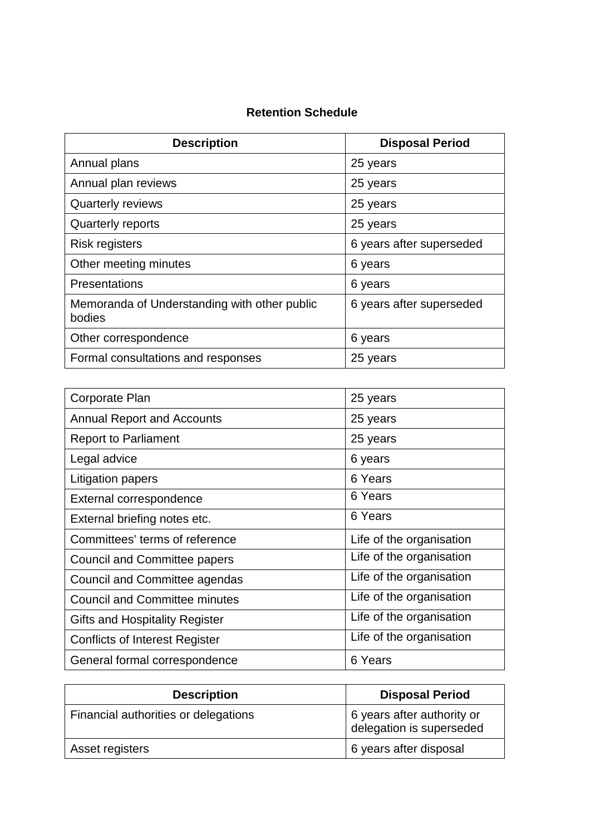# **Retention Schedule**

| <b>Description</b>                                     | <b>Disposal Period</b>   |
|--------------------------------------------------------|--------------------------|
| Annual plans                                           | 25 years                 |
| Annual plan reviews                                    | 25 years                 |
| <b>Quarterly reviews</b>                               | 25 years                 |
| <b>Quarterly reports</b>                               | 25 years                 |
| <b>Risk registers</b>                                  | 6 years after superseded |
| Other meeting minutes                                  | 6 years                  |
| Presentations                                          | 6 years                  |
| Memoranda of Understanding with other public<br>bodies | 6 years after superseded |
| Other correspondence                                   | 6 years                  |
| Formal consultations and responses                     | 25 years                 |

| Corporate Plan                        | 25 years                 |
|---------------------------------------|--------------------------|
| <b>Annual Report and Accounts</b>     | 25 years                 |
| <b>Report to Parliament</b>           | 25 years                 |
| Legal advice                          | 6 years                  |
| Litigation papers                     | 6 Years                  |
| External correspondence               | 6 Years                  |
| External briefing notes etc.          | 6 Years                  |
| Committees' terms of reference        | Life of the organisation |
| Council and Committee papers          | Life of the organisation |
| Council and Committee agendas         | Life of the organisation |
| <b>Council and Committee minutes</b>  | Life of the organisation |
| <b>Gifts and Hospitality Register</b> | Life of the organisation |
| <b>Conflicts of Interest Register</b> | Life of the organisation |
| General formal correspondence         | 6 Years                  |

| <b>Description</b>                   | <b>Disposal Period</b>                                 |
|--------------------------------------|--------------------------------------------------------|
| Financial authorities or delegations | 6 years after authority or<br>delegation is superseded |
| Asset registers                      | 6 years after disposal                                 |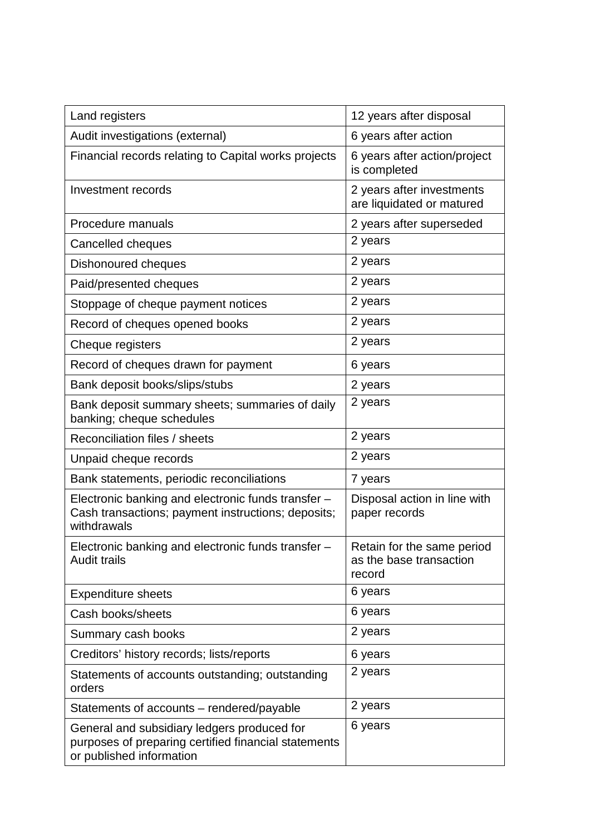| Land registers                                                                                                                  | 12 years after disposal                                         |
|---------------------------------------------------------------------------------------------------------------------------------|-----------------------------------------------------------------|
| Audit investigations (external)                                                                                                 | 6 years after action                                            |
| Financial records relating to Capital works projects                                                                            | 6 years after action/project<br>is completed                    |
| Investment records                                                                                                              | 2 years after investments<br>are liquidated or matured          |
| Procedure manuals                                                                                                               | 2 years after superseded                                        |
| Cancelled cheques                                                                                                               | 2 years                                                         |
| Dishonoured cheques                                                                                                             | 2 years                                                         |
| Paid/presented cheques                                                                                                          | 2 years                                                         |
| Stoppage of cheque payment notices                                                                                              | 2 years                                                         |
| Record of cheques opened books                                                                                                  | 2 years                                                         |
| Cheque registers                                                                                                                | 2 years                                                         |
| Record of cheques drawn for payment                                                                                             | 6 years                                                         |
| Bank deposit books/slips/stubs                                                                                                  | 2 years                                                         |
| Bank deposit summary sheets; summaries of daily<br>banking; cheque schedules                                                    | 2 years                                                         |
| Reconciliation files / sheets                                                                                                   | 2 years                                                         |
| Unpaid cheque records                                                                                                           | 2 years                                                         |
| Bank statements, periodic reconciliations                                                                                       | 7 years                                                         |
| Electronic banking and electronic funds transfer -<br>Cash transactions; payment instructions; deposits;<br>withdrawals         | Disposal action in line with<br>paper records                   |
| Electronic banking and electronic funds transfer -<br><b>Audit trails</b>                                                       | Retain for the same period<br>as the base transaction<br>record |
| <b>Expenditure sheets</b>                                                                                                       | 6 years                                                         |
| Cash books/sheets                                                                                                               | 6 years                                                         |
| Summary cash books                                                                                                              | 2 years                                                         |
| Creditors' history records; lists/reports                                                                                       | 6 years                                                         |
| Statements of accounts outstanding; outstanding<br>orders                                                                       | 2 years                                                         |
| Statements of accounts - rendered/payable                                                                                       | 2 years                                                         |
| General and subsidiary ledgers produced for<br>purposes of preparing certified financial statements<br>or published information | 6 years                                                         |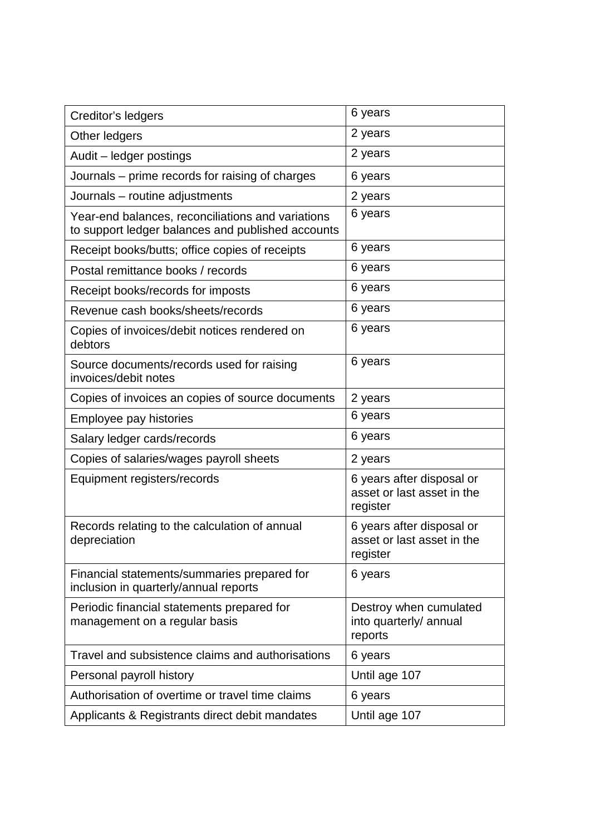| Creditor's ledgers                                                                                     | 6 years                                                             |
|--------------------------------------------------------------------------------------------------------|---------------------------------------------------------------------|
| Other ledgers                                                                                          | 2 years                                                             |
| Audit - ledger postings                                                                                | 2 years                                                             |
| Journals – prime records for raising of charges                                                        | 6 years                                                             |
| Journals - routine adjustments                                                                         | 2 years                                                             |
| Year-end balances, reconciliations and variations<br>to support ledger balances and published accounts | 6 years                                                             |
| Receipt books/butts; office copies of receipts                                                         | 6 years                                                             |
| Postal remittance books / records                                                                      | 6 years                                                             |
| Receipt books/records for imposts                                                                      | 6 years                                                             |
| Revenue cash books/sheets/records                                                                      | 6 years                                                             |
| Copies of invoices/debit notices rendered on<br>debtors                                                | 6 years                                                             |
| Source documents/records used for raising<br>invoices/debit notes                                      | 6 years                                                             |
| Copies of invoices an copies of source documents                                                       | 2 years                                                             |
| Employee pay histories                                                                                 | 6 years                                                             |
| Salary ledger cards/records                                                                            | 6 years                                                             |
| Copies of salaries/wages payroll sheets                                                                | 2 years                                                             |
| Equipment registers/records                                                                            | 6 years after disposal or<br>asset or last asset in the<br>register |
| Records relating to the calculation of annual<br>depreciation                                          | 6 years after disposal or<br>asset or last asset in the<br>register |
| Financial statements/summaries prepared for<br>inclusion in quarterly/annual reports                   | 6 years                                                             |
| Periodic financial statements prepared for<br>management on a regular basis                            | Destroy when cumulated<br>into quarterly/ annual<br>reports         |
| Travel and subsistence claims and authorisations                                                       | 6 years                                                             |
| Personal payroll history                                                                               | Until age 107                                                       |
| Authorisation of overtime or travel time claims                                                        | 6 years                                                             |
| Applicants & Registrants direct debit mandates                                                         | Until age 107                                                       |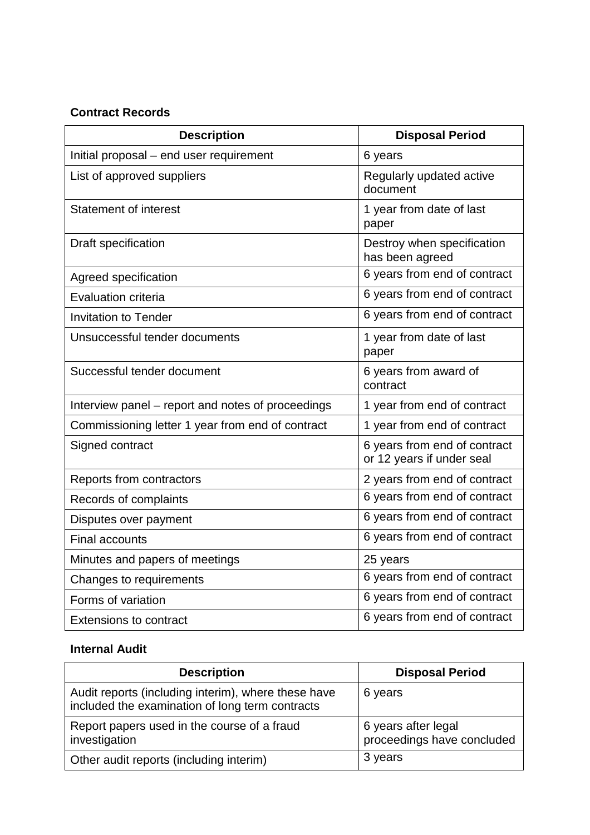#### **Contract Records**

| <b>Description</b>                                | <b>Disposal Period</b>                                    |
|---------------------------------------------------|-----------------------------------------------------------|
| Initial proposal - end user requirement           | 6 years                                                   |
| List of approved suppliers                        | Regularly updated active<br>document                      |
| <b>Statement of interest</b>                      | 1 year from date of last<br>paper                         |
| Draft specification                               | Destroy when specification<br>has been agreed             |
| Agreed specification                              | 6 years from end of contract                              |
| Evaluation criteria                               | 6 years from end of contract                              |
| <b>Invitation to Tender</b>                       | 6 years from end of contract                              |
| Unsuccessful tender documents                     | 1 year from date of last<br>paper                         |
| Successful tender document                        | 6 years from award of<br>contract                         |
| Interview panel - report and notes of proceedings | 1 year from end of contract                               |
| Commissioning letter 1 year from end of contract  | 1 year from end of contract                               |
| Signed contract                                   | 6 years from end of contract<br>or 12 years if under seal |
| Reports from contractors                          | 2 years from end of contract                              |
| Records of complaints                             | 6 years from end of contract                              |
| Disputes over payment                             | 6 years from end of contract                              |
| <b>Final accounts</b>                             | 6 years from end of contract                              |
| Minutes and papers of meetings                    | 25 years                                                  |
| Changes to requirements                           | 6 years from end of contract                              |
| Forms of variation                                | 6 years from end of contract                              |
| <b>Extensions to contract</b>                     | 6 years from end of contract                              |

# **Internal Audit**

| <b>Description</b>                                                                                     | <b>Disposal Period</b>                            |
|--------------------------------------------------------------------------------------------------------|---------------------------------------------------|
| Audit reports (including interim), where these have<br>included the examination of long term contracts | 6 years                                           |
| Report papers used in the course of a fraud<br>investigation                                           | 6 years after legal<br>proceedings have concluded |
| Other audit reports (including interim)                                                                | 3 years                                           |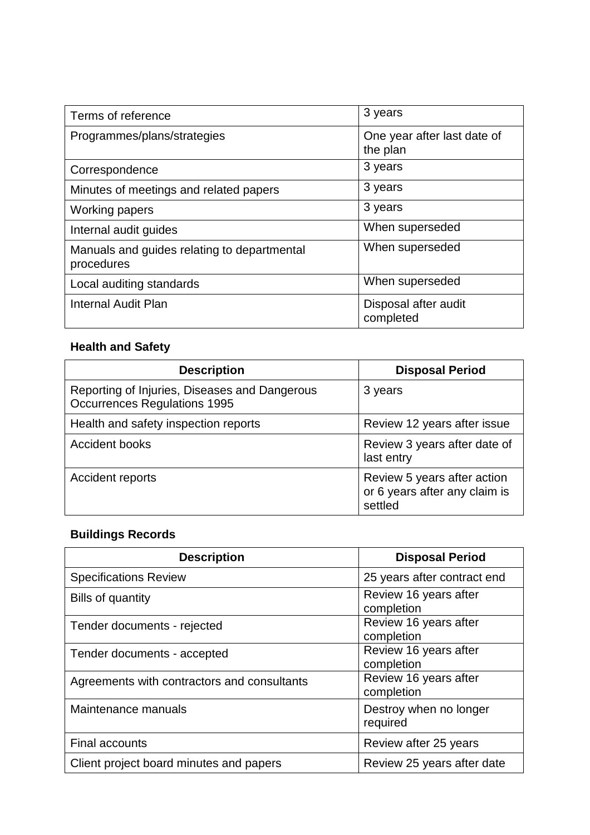| Terms of reference                                        | 3 years                                 |
|-----------------------------------------------------------|-----------------------------------------|
| Programmes/plans/strategies                               | One year after last date of<br>the plan |
| Correspondence                                            | 3 years                                 |
| Minutes of meetings and related papers                    | 3 years                                 |
| <b>Working papers</b>                                     | 3 years                                 |
| Internal audit guides                                     | When superseded                         |
| Manuals and guides relating to departmental<br>procedures | When superseded                         |
| Local auditing standards                                  | When superseded                         |
| <b>Internal Audit Plan</b>                                | Disposal after audit<br>completed       |

# **Health and Safety**

| <b>Description</b>                                                                   | <b>Disposal Period</b>                                                  |
|--------------------------------------------------------------------------------------|-------------------------------------------------------------------------|
| Reporting of Injuries, Diseases and Dangerous<br><b>Occurrences Regulations 1995</b> | 3 years                                                                 |
| Health and safety inspection reports                                                 | Review 12 years after issue                                             |
| Accident books                                                                       | Review 3 years after date of<br>last entry                              |
| Accident reports                                                                     | Review 5 years after action<br>or 6 years after any claim is<br>settled |

# **Buildings Records**

| <b>Description</b>                          | <b>Disposal Period</b>              |
|---------------------------------------------|-------------------------------------|
| <b>Specifications Review</b>                | 25 years after contract end         |
| Bills of quantity                           | Review 16 years after<br>completion |
| Tender documents - rejected                 | Review 16 years after<br>completion |
| Tender documents - accepted                 | Review 16 years after<br>completion |
| Agreements with contractors and consultants | Review 16 years after<br>completion |
| Maintenance manuals                         | Destroy when no longer<br>required  |
| Final accounts                              | Review after 25 years               |
| Client project board minutes and papers     | Review 25 years after date          |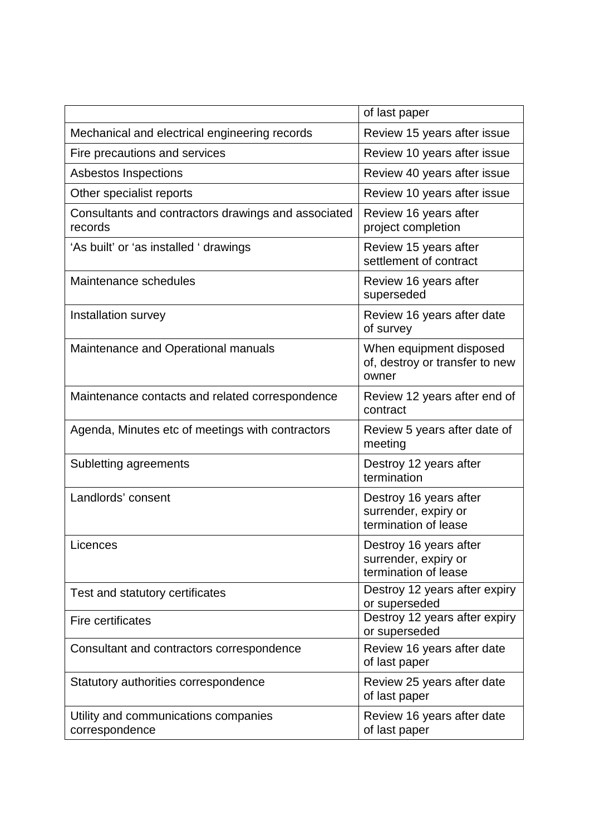|                                                                | of last paper                                                          |
|----------------------------------------------------------------|------------------------------------------------------------------------|
| Mechanical and electrical engineering records                  | Review 15 years after issue                                            |
| Fire precautions and services                                  | Review 10 years after issue                                            |
| Asbestos Inspections                                           | Review 40 years after issue                                            |
| Other specialist reports                                       | Review 10 years after issue                                            |
| Consultants and contractors drawings and associated<br>records | Review 16 years after<br>project completion                            |
| 'As built' or 'as installed ' drawings                         | Review 15 years after<br>settlement of contract                        |
| Maintenance schedules                                          | Review 16 years after<br>superseded                                    |
| Installation survey                                            | Review 16 years after date<br>of survey                                |
| Maintenance and Operational manuals                            | When equipment disposed<br>of, destroy or transfer to new<br>owner     |
| Maintenance contacts and related correspondence                | Review 12 years after end of<br>contract                               |
| Agenda, Minutes etc of meetings with contractors               | Review 5 years after date of<br>meeting                                |
| Subletting agreements                                          | Destroy 12 years after<br>termination                                  |
| Landlords' consent                                             | Destroy 16 years after<br>surrender, expiry or<br>termination of lease |
| Licences                                                       | Destroy 16 years after<br>surrender, expiry or<br>termination of lease |
| Test and statutory certificates                                | Destroy 12 years after expiry<br>or superseded                         |
| Fire certificates                                              | Destroy 12 years after expiry<br>or superseded                         |
| Consultant and contractors correspondence                      | Review 16 years after date<br>of last paper                            |
| Statutory authorities correspondence                           | Review 25 years after date<br>of last paper                            |
| Utility and communications companies<br>correspondence         | Review 16 years after date<br>of last paper                            |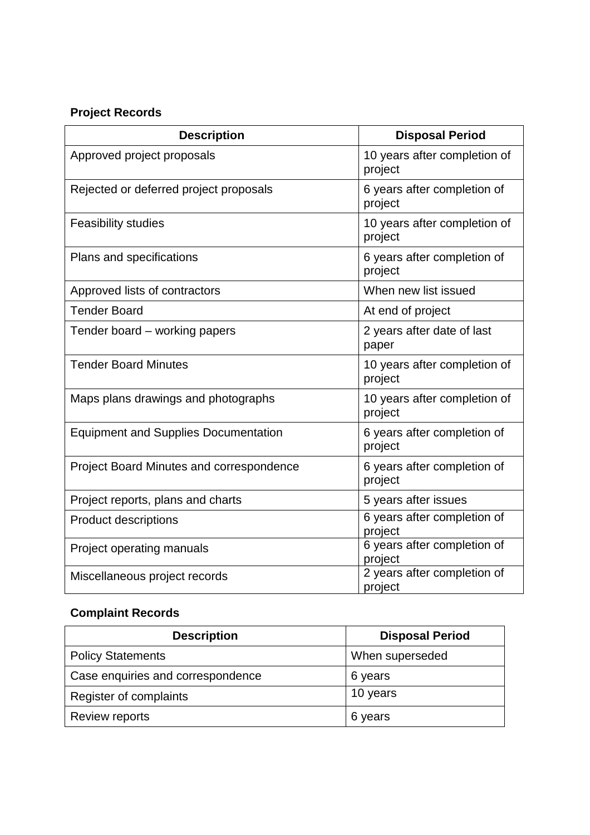# **Project Records**

| <b>Description</b>                              | <b>Disposal Period</b>                  |
|-------------------------------------------------|-----------------------------------------|
| Approved project proposals                      | 10 years after completion of<br>project |
| Rejected or deferred project proposals          | 6 years after completion of<br>project  |
| <b>Feasibility studies</b>                      | 10 years after completion of<br>project |
| Plans and specifications                        | 6 years after completion of<br>project  |
| Approved lists of contractors                   | When new list issued                    |
| <b>Tender Board</b>                             | At end of project                       |
| Tender board – working papers                   | 2 years after date of last<br>paper     |
| <b>Tender Board Minutes</b>                     | 10 years after completion of<br>project |
| Maps plans drawings and photographs             | 10 years after completion of<br>project |
| <b>Equipment and Supplies Documentation</b>     | 6 years after completion of<br>project  |
| <b>Project Board Minutes and correspondence</b> | 6 years after completion of<br>project  |
| Project reports, plans and charts               | 5 years after issues                    |
| <b>Product descriptions</b>                     | 6 years after completion of<br>project  |
| Project operating manuals                       | 6 years after completion of<br>project  |
| Miscellaneous project records                   | 2 years after completion of<br>project  |

# **Complaint Records**

| <b>Description</b>                | <b>Disposal Period</b> |
|-----------------------------------|------------------------|
| <b>Policy Statements</b>          | When superseded        |
| Case enquiries and correspondence | 6 years                |
| Register of complaints            | 10 years               |
| Review reports                    | 6 years                |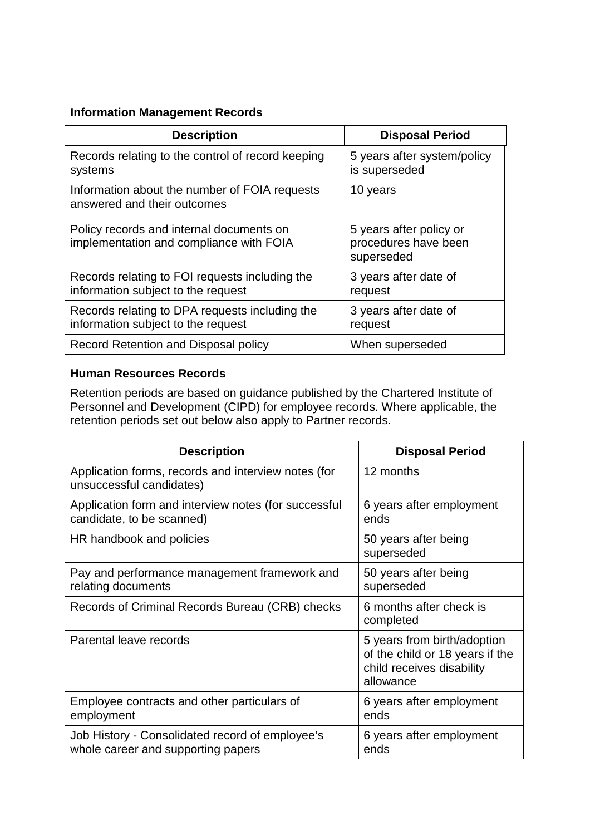### **Information Management Records**

| <b>Description</b>                                                                   | <b>Disposal Period</b>                                        |
|--------------------------------------------------------------------------------------|---------------------------------------------------------------|
| Records relating to the control of record keeping<br>systems                         | 5 years after system/policy<br>is superseded                  |
| Information about the number of FOIA requests<br>answered and their outcomes         | 10 years                                                      |
| Policy records and internal documents on<br>implementation and compliance with FOIA  | 5 years after policy or<br>procedures have been<br>superseded |
| Records relating to FOI requests including the<br>information subject to the request | 3 years after date of<br>request                              |
| Records relating to DPA requests including the<br>information subject to the request | 3 years after date of<br>request                              |
| Record Retention and Disposal policy                                                 | When superseded                                               |

### **Human Resources Records**

Retention periods are based on guidance published by the Chartered Institute of Personnel and Development (CIPD) for employee records. Where applicable, the retention periods set out below also apply to Partner records.

| <b>Description</b>                                                                    | <b>Disposal Period</b>                                                                                   |
|---------------------------------------------------------------------------------------|----------------------------------------------------------------------------------------------------------|
| Application forms, records and interview notes (for<br>unsuccessful candidates)       | 12 months                                                                                                |
| Application form and interview notes (for successful<br>candidate, to be scanned)     | 6 years after employment<br>ends                                                                         |
| HR handbook and policies                                                              | 50 years after being<br>superseded                                                                       |
| Pay and performance management framework and<br>relating documents                    | 50 years after being<br>superseded                                                                       |
| Records of Criminal Records Bureau (CRB) checks                                       | 6 months after check is<br>completed                                                                     |
| Parental leave records                                                                | 5 years from birth/adoption<br>of the child or 18 years if the<br>child receives disability<br>allowance |
| Employee contracts and other particulars of<br>employment                             | 6 years after employment<br>ends                                                                         |
| Job History - Consolidated record of employee's<br>whole career and supporting papers | 6 years after employment<br>ends                                                                         |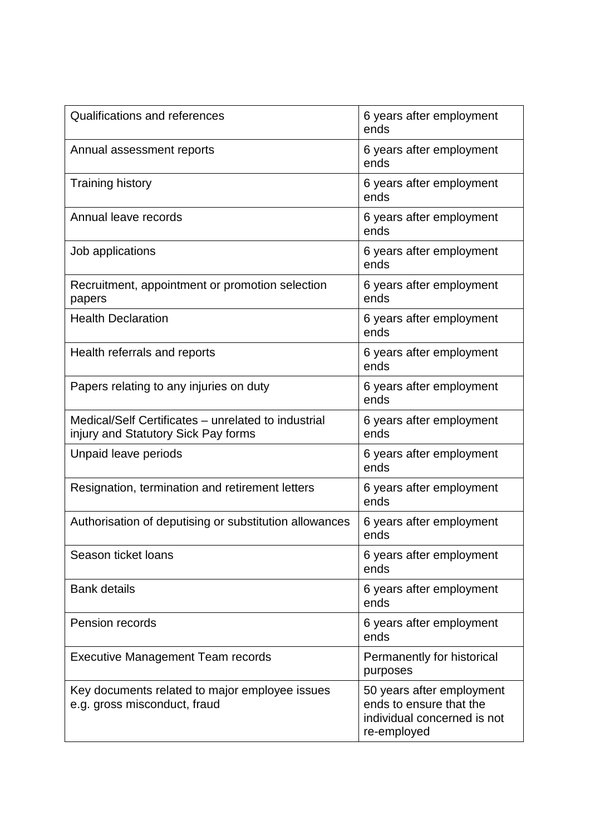| Qualifications and references                                                              | 6 years after employment<br>ends                                                                   |
|--------------------------------------------------------------------------------------------|----------------------------------------------------------------------------------------------------|
| Annual assessment reports                                                                  | 6 years after employment<br>ends                                                                   |
| <b>Training history</b>                                                                    | 6 years after employment<br>ends                                                                   |
| Annual leave records                                                                       | 6 years after employment<br>ends                                                                   |
| Job applications                                                                           | 6 years after employment<br>ends                                                                   |
| Recruitment, appointment or promotion selection<br>papers                                  | 6 years after employment<br>ends                                                                   |
| <b>Health Declaration</b>                                                                  | 6 years after employment<br>ends                                                                   |
| Health referrals and reports                                                               | 6 years after employment<br>ends                                                                   |
| Papers relating to any injuries on duty                                                    | 6 years after employment<br>ends                                                                   |
| Medical/Self Certificates - unrelated to industrial<br>injury and Statutory Sick Pay forms | 6 years after employment<br>ends                                                                   |
| Unpaid leave periods                                                                       | 6 years after employment<br>ends                                                                   |
| Resignation, termination and retirement letters                                            | 6 years after employment<br>ends                                                                   |
| Authorisation of deputising or substitution allowances                                     | 6 years after employment<br>ends                                                                   |
| Season ticket loans                                                                        | 6 years after employment<br>ends                                                                   |
| <b>Bank details</b>                                                                        | 6 years after employment<br>ends                                                                   |
| Pension records                                                                            | 6 years after employment<br>ends                                                                   |
| <b>Executive Management Team records</b>                                                   | Permanently for historical<br>purposes                                                             |
| Key documents related to major employee issues<br>e.g. gross misconduct, fraud             | 50 years after employment<br>ends to ensure that the<br>individual concerned is not<br>re-employed |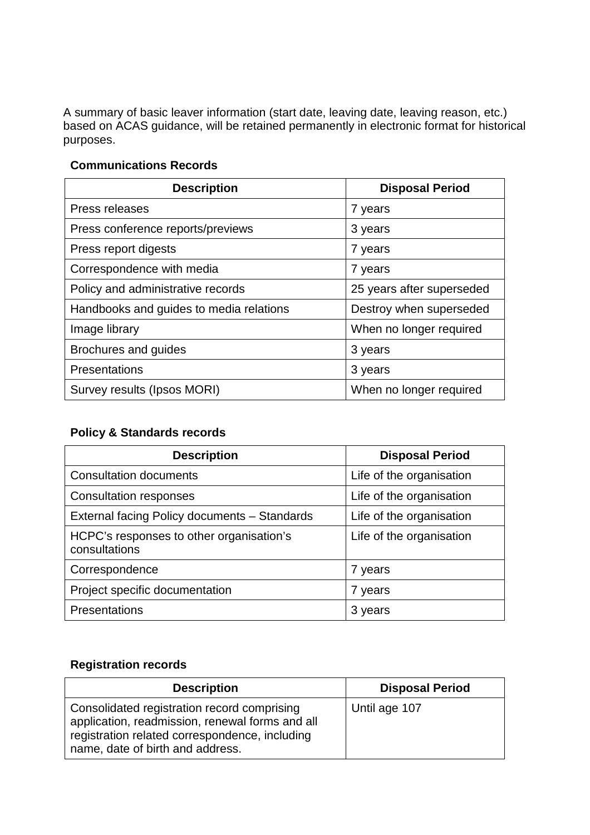A summary of basic leaver information (start date, leaving date, leaving reason, etc.) based on ACAS guidance, will be retained permanently in electronic format for historical purposes.

#### **Communications Records**

| <b>Description</b>                      | <b>Disposal Period</b>    |
|-----------------------------------------|---------------------------|
| Press releases                          | 7 years                   |
| Press conference reports/previews       | 3 years                   |
| Press report digests                    | 7 years                   |
| Correspondence with media               | 7 years                   |
| Policy and administrative records       | 25 years after superseded |
| Handbooks and guides to media relations | Destroy when superseded   |
| Image library                           | When no longer required   |
| Brochures and guides                    | 3 years                   |
| Presentations                           | 3 years                   |
| Survey results (Ipsos MORI)             | When no longer required   |

# **Policy & Standards records**

| <b>Description</b>                                        | <b>Disposal Period</b>   |
|-----------------------------------------------------------|--------------------------|
| <b>Consultation documents</b>                             | Life of the organisation |
| <b>Consultation responses</b>                             | Life of the organisation |
| External facing Policy documents - Standards              | Life of the organisation |
| HCPC's responses to other organisation's<br>consultations | Life of the organisation |
| Correspondence                                            | 7 years                  |
| Project specific documentation                            | 7 years                  |
| Presentations                                             | 3 years                  |

# **Registration records**

| <b>Description</b>                                                                                                                                                                   | <b>Disposal Period</b> |
|--------------------------------------------------------------------------------------------------------------------------------------------------------------------------------------|------------------------|
| Consolidated registration record comprising<br>application, readmission, renewal forms and all<br>registration related correspondence, including<br>name, date of birth and address. | Until age 107          |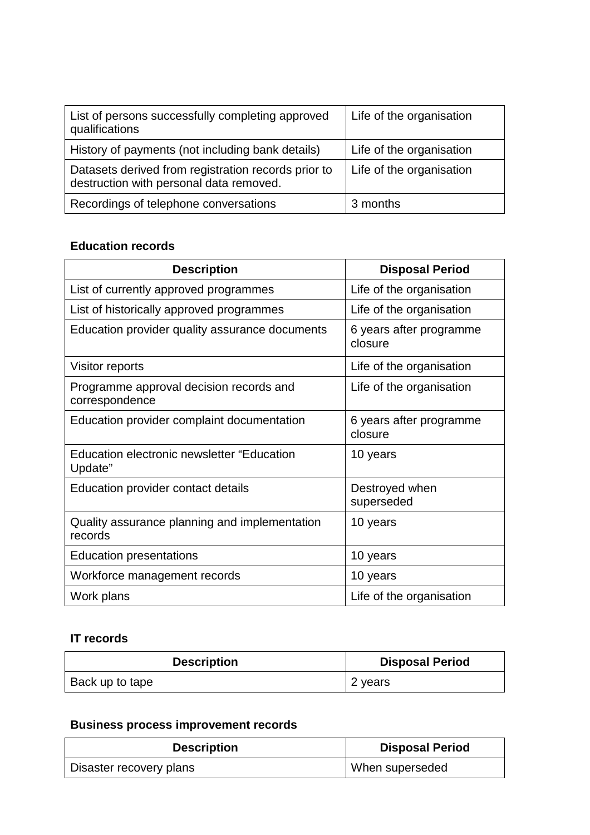| List of persons successfully completing approved<br>qualifications                             | Life of the organisation |
|------------------------------------------------------------------------------------------------|--------------------------|
| History of payments (not including bank details)                                               | Life of the organisation |
| Datasets derived from registration records prior to<br>destruction with personal data removed. | Life of the organisation |
| Recordings of telephone conversations                                                          | 3 months                 |

# **Education records**

| <b>Description</b>                                           | <b>Disposal Period</b>             |
|--------------------------------------------------------------|------------------------------------|
| List of currently approved programmes                        | Life of the organisation           |
| List of historically approved programmes                     | Life of the organisation           |
| Education provider quality assurance documents               | 6 years after programme<br>closure |
| Visitor reports                                              | Life of the organisation           |
| Programme approval decision records and<br>correspondence    | Life of the organisation           |
| Education provider complaint documentation                   | 6 years after programme<br>closure |
| <b>Education electronic newsletter "Education</b><br>Update" | 10 years                           |
| Education provider contact details                           | Destroyed when<br>superseded       |
| Quality assurance planning and implementation<br>records     | 10 years                           |
| <b>Education presentations</b>                               | 10 years                           |
| Workforce management records                                 | 10 years                           |
| Work plans                                                   | Life of the organisation           |

# **IT records**

| <b>Description</b> | <b>Disposal Period</b> |
|--------------------|------------------------|
| Back up to tape    | 2 years                |

# **Business process improvement records**

| <b>Description</b>      | <b>Disposal Period</b> |
|-------------------------|------------------------|
| Disaster recovery plans | When superseded        |